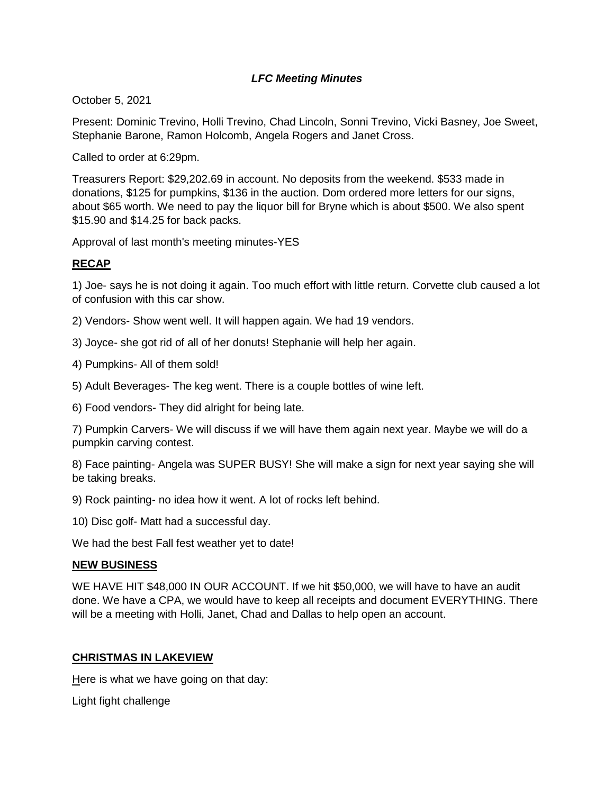# *LFC Meeting Minutes*

October 5, 2021

Present: Dominic Trevino, Holli Trevino, Chad Lincoln, Sonni Trevino, Vicki Basney, Joe Sweet, Stephanie Barone, Ramon Holcomb, Angela Rogers and Janet Cross.

Called to order at 6:29pm.

Treasurers Report: \$29,202.69 in account. No deposits from the weekend. \$533 made in donations, \$125 for pumpkins, \$136 in the auction. Dom ordered more letters for our signs, about \$65 worth. We need to pay the liquor bill for Bryne which is about \$500. We also spent \$15.90 and \$14.25 for back packs.

Approval of last month's meeting minutes-YES

## **RECAP**

1) Joe- says he is not doing it again. Too much effort with little return. Corvette club caused a lot of confusion with this car show.

2) Vendors- Show went well. It will happen again. We had 19 vendors.

3) Joyce- she got rid of all of her donuts! Stephanie will help her again.

4) Pumpkins- All of them sold!

5) Adult Beverages- The keg went. There is a couple bottles of wine left.

6) Food vendors- They did alright for being late.

7) Pumpkin Carvers- We will discuss if we will have them again next year. Maybe we will do a pumpkin carving contest.

8) Face painting- Angela was SUPER BUSY! She will make a sign for next year saying she will be taking breaks.

9) Rock painting- no idea how it went. A lot of rocks left behind.

10) Disc golf- Matt had a successful day.

We had the best Fall fest weather yet to date!

### **NEW BUSINESS**

WE HAVE HIT \$48,000 IN OUR ACCOUNT. If we hit \$50,000, we will have to have an audit done. We have a CPA, we would have to keep all receipts and document EVERYTHING. There will be a meeting with Holli, Janet, Chad and Dallas to help open an account.

### **CHRISTMAS IN LAKEVIEW**

Here is what we have going on that day:

Light fight challenge